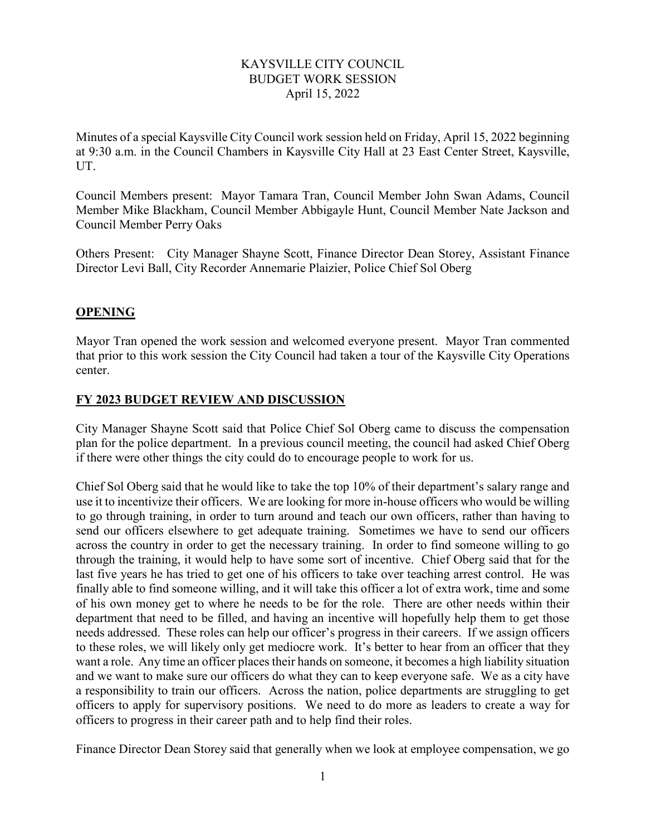## KAYSVILLE CITY COUNCIL BUDGET WORK SESSION April 15, 2022

Minutes of a special Kaysville City Council work session held on Friday, April 15, 2022 beginning at 9:30 a.m. in the Council Chambers in Kaysville City Hall at 23 East Center Street, Kaysville, UT.

Council Members present: Mayor Tamara Tran, Council Member John Swan Adams, Council Member Mike Blackham, Council Member Abbigayle Hunt, Council Member Nate Jackson and Council Member Perry Oaks

Others Present: City Manager Shayne Scott, Finance Director Dean Storey, Assistant Finance Director Levi Ball, City Recorder Annemarie Plaizier, Police Chief Sol Oberg

## **OPENING**

Mayor Tran opened the work session and welcomed everyone present. Mayor Tran commented that prior to this work session the City Council had taken a tour of the Kaysville City Operations center.

## **FY 2023 BUDGET REVIEW AND DISCUSSION**

City Manager Shayne Scott said that Police Chief Sol Oberg came to discuss the compensation plan for the police department. In a previous council meeting, the council had asked Chief Oberg if there were other things the city could do to encourage people to work for us.

Chief Sol Oberg said that he would like to take the top 10% of their department's salary range and use it to incentivize their officers. We are looking for more in-house officers who would be willing to go through training, in order to turn around and teach our own officers, rather than having to send our officers elsewhere to get adequate training. Sometimes we have to send our officers across the country in order to get the necessary training. In order to find someone willing to go through the training, it would help to have some sort of incentive. Chief Oberg said that for the last five years he has tried to get one of his officers to take over teaching arrest control. He was finally able to find someone willing, and it will take this officer a lot of extra work, time and some of his own money get to where he needs to be for the role. There are other needs within their department that need to be filled, and having an incentive will hopefully help them to get those needs addressed. These roles can help our officer's progress in their careers. If we assign officers to these roles, we will likely only get mediocre work. It's better to hear from an officer that they want a role. Any time an officer places their hands on someone, it becomes a high liability situation and we want to make sure our officers do what they can to keep everyone safe. We as a city have a responsibility to train our officers. Across the nation, police departments are struggling to get officers to apply for supervisory positions. We need to do more as leaders to create a way for officers to progress in their career path and to help find their roles.

Finance Director Dean Storey said that generally when we look at employee compensation, we go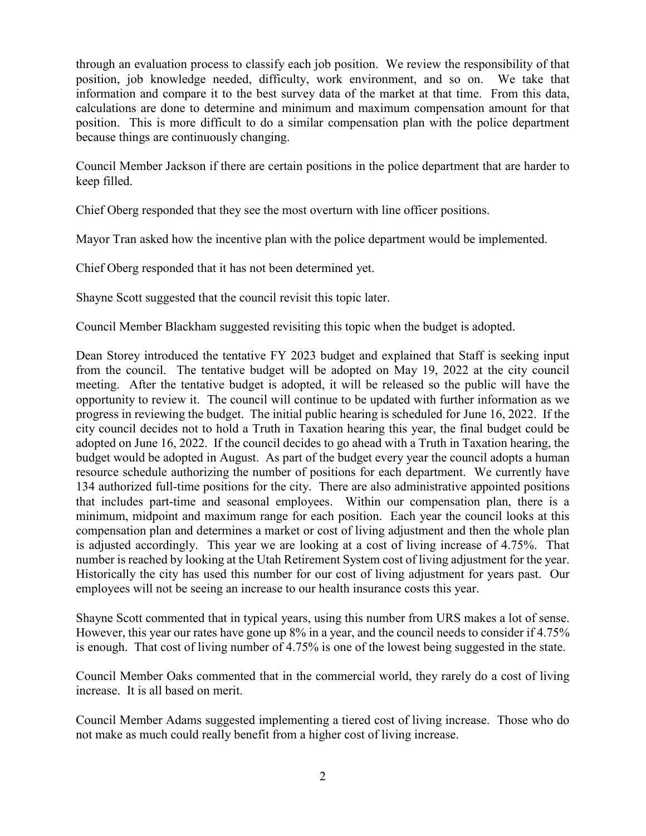through an evaluation process to classify each job position. We review the responsibility of that position, job knowledge needed, difficulty, work environment, and so on. We take that information and compare it to the best survey data of the market at that time. From this data, calculations are done to determine and minimum and maximum compensation amount for that position. This is more difficult to do a similar compensation plan with the police department because things are continuously changing.

Council Member Jackson if there are certain positions in the police department that are harder to keep filled.

Chief Oberg responded that they see the most overturn with line officer positions.

Mayor Tran asked how the incentive plan with the police department would be implemented.

Chief Oberg responded that it has not been determined yet.

Shayne Scott suggested that the council revisit this topic later.

Council Member Blackham suggested revisiting this topic when the budget is adopted.

Dean Storey introduced the tentative FY 2023 budget and explained that Staff is seeking input from the council. The tentative budget will be adopted on May 19, 2022 at the city council meeting. After the tentative budget is adopted, it will be released so the public will have the opportunity to review it. The council will continue to be updated with further information as we progress in reviewing the budget. The initial public hearing is scheduled for June 16, 2022. If the city council decides not to hold a Truth in Taxation hearing this year, the final budget could be adopted on June 16, 2022. If the council decides to go ahead with a Truth in Taxation hearing, the budget would be adopted in August. As part of the budget every year the council adopts a human resource schedule authorizing the number of positions for each department. We currently have 134 authorized full-time positions for the city. There are also administrative appointed positions that includes part-time and seasonal employees. Within our compensation plan, there is a minimum, midpoint and maximum range for each position. Each year the council looks at this compensation plan and determines a market or cost of living adjustment and then the whole plan is adjusted accordingly. This year we are looking at a cost of living increase of 4.75%. That number is reached by looking at the Utah Retirement System cost of living adjustment for the year. Historically the city has used this number for our cost of living adjustment for years past. Our employees will not be seeing an increase to our health insurance costs this year.

Shayne Scott commented that in typical years, using this number from URS makes a lot of sense. However, this year our rates have gone up 8% in a year, and the council needs to consider if 4.75% is enough. That cost of living number of 4.75% is one of the lowest being suggested in the state.

Council Member Oaks commented that in the commercial world, they rarely do a cost of living increase. It is all based on merit.

Council Member Adams suggested implementing a tiered cost of living increase. Those who do not make as much could really benefit from a higher cost of living increase.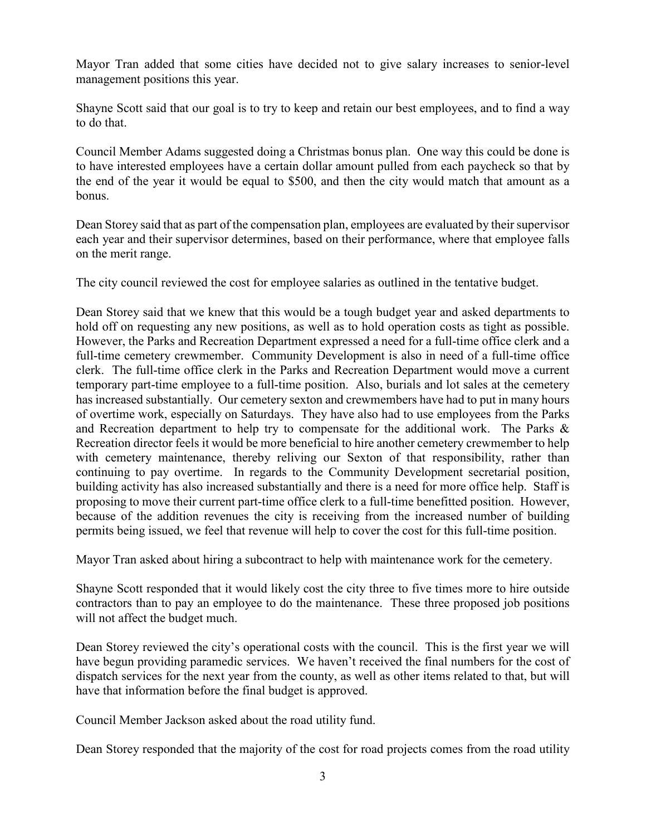Mayor Tran added that some cities have decided not to give salary increases to senior-level management positions this year.

Shayne Scott said that our goal is to try to keep and retain our best employees, and to find a way to do that.

Council Member Adams suggested doing a Christmas bonus plan. One way this could be done is to have interested employees have a certain dollar amount pulled from each paycheck so that by the end of the year it would be equal to \$500, and then the city would match that amount as a bonus.

Dean Storey said that as part of the compensation plan, employees are evaluated by their supervisor each year and their supervisor determines, based on their performance, where that employee falls on the merit range.

The city council reviewed the cost for employee salaries as outlined in the tentative budget.

Dean Storey said that we knew that this would be a tough budget year and asked departments to hold off on requesting any new positions, as well as to hold operation costs as tight as possible. However, the Parks and Recreation Department expressed a need for a full-time office clerk and a full-time cemetery crewmember. Community Development is also in need of a full-time office clerk. The full-time office clerk in the Parks and Recreation Department would move a current temporary part-time employee to a full-time position. Also, burials and lot sales at the cemetery has increased substantially. Our cemetery sexton and crewmembers have had to put in many hours of overtime work, especially on Saturdays. They have also had to use employees from the Parks and Recreation department to help try to compensate for the additional work. The Parks & Recreation director feels it would be more beneficial to hire another cemetery crewmember to help with cemetery maintenance, thereby reliving our Sexton of that responsibility, rather than continuing to pay overtime. In regards to the Community Development secretarial position, building activity has also increased substantially and there is a need for more office help. Staff is proposing to move their current part-time office clerk to a full-time benefitted position. However, because of the addition revenues the city is receiving from the increased number of building permits being issued, we feel that revenue will help to cover the cost for this full-time position.

Mayor Tran asked about hiring a subcontract to help with maintenance work for the cemetery.

Shayne Scott responded that it would likely cost the city three to five times more to hire outside contractors than to pay an employee to do the maintenance. These three proposed job positions will not affect the budget much.

Dean Storey reviewed the city's operational costs with the council. This is the first year we will have begun providing paramedic services. We haven't received the final numbers for the cost of dispatch services for the next year from the county, as well as other items related to that, but will have that information before the final budget is approved.

Council Member Jackson asked about the road utility fund.

Dean Storey responded that the majority of the cost for road projects comes from the road utility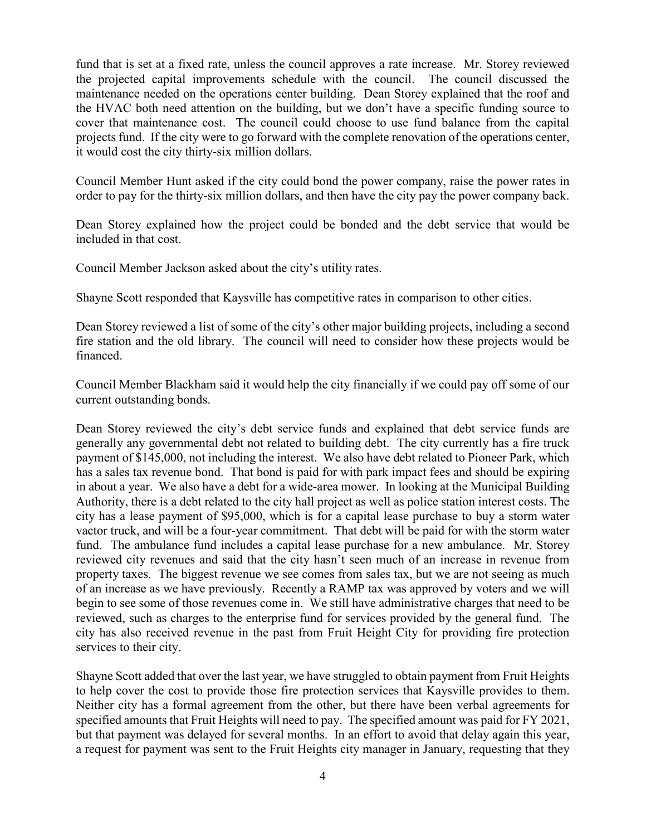fund that is set at a fixed rate, unless the council approves a rate increase. Mr. Storey reviewed the projected capital improvements schedule with the council. The council discussed the maintenance needed on the operations center building. Dean Storey explained that the roof and the HVAC both need attention on the building, but we don't have a specific funding source to cover that maintenance cost. The council could choose to use fund balance from the capital projects fund. If the city were to go forward with the complete renovation of the operations center, it would cost the city thirty-six million dollars.

Council Member Hunt asked if the city could bond the power company, raise the power rates in order to pay for the thirty-six million dollars, and then have the city pay the power company back.

Dean Storey explained how the project could be bonded and the debt service that would be included in that cost.

Council Member Jackson asked about the city's utility rates.

Shayne Scott responded that Kaysville has competitive rates in comparison to other cities.

Dean Storey reviewed a list of some of the city's other major building projects, including a second fire station and the old library. The council will need to consider how these projects would be financed.

Council Member Blackham said it would help the city financially if we could pay off some of our current outstanding bonds.

Dean Storey reviewed the city's debt service funds and explained that debt service funds are generally any governmental debt not related to building debt. The city currently has a fire truck payment of \$145,000, not including the interest. We also have debt related to Pioneer Park, which has a sales tax revenue bond. That bond is paid for with park impact fees and should be expiring in about a year. We also have a debt for a wide-area mower. In looking at the Municipal Building Authority, there is a debt related to the city hall project as well as police station interest costs. The city has a lease payment of \$95,000, which is for a capital lease purchase to buy a storm water vactor truck, and will be a four-year commitment. That debt will be paid for with the storm water fund. The ambulance fund includes a capital lease purchase for a new ambulance. Mr. Storey reviewed city revenues and said that the city hasn't seen much of an increase in revenue from property taxes. The biggest revenue we see comes from sales tax, but we are not seeing as much of an increase as we have previously. Recently a RAMP tax was approved by voters and we will begin to see some of those revenues come in. We still have administrative charges that need to be reviewed, such as charges to the enterprise fund for services provided by the general fund. The city has also received revenue in the past from Fruit Height City for providing fire protection services to their city.

Shayne Scott added that over the last year, we have struggled to obtain payment from Fruit Heights to help cover the cost to provide those fire protection services that Kaysville provides to them. Neither city has a formal agreement from the other, but there have been verbal agreements for specified amounts that Fruit Heights will need to pay. The specified amount was paid for FY 2021, but that payment was delayed for several months. In an effort to avoid that delay again this year, a request for payment was sent to the Fruit Heights city manager in January, requesting that they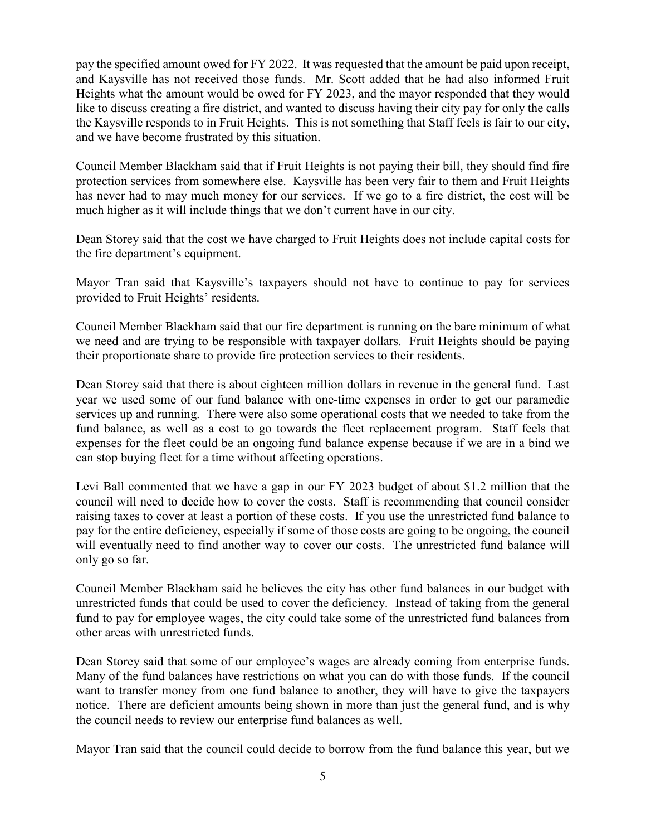pay the specified amount owed for FY 2022. It was requested that the amount be paid upon receipt, and Kaysville has not received those funds. Mr. Scott added that he had also informed Fruit Heights what the amount would be owed for FY 2023, and the mayor responded that they would like to discuss creating a fire district, and wanted to discuss having their city pay for only the calls the Kaysville responds to in Fruit Heights. This is not something that Staff feels is fair to our city, and we have become frustrated by this situation.

Council Member Blackham said that if Fruit Heights is not paying their bill, they should find fire protection services from somewhere else. Kaysville has been very fair to them and Fruit Heights has never had to may much money for our services. If we go to a fire district, the cost will be much higher as it will include things that we don't current have in our city.

Dean Storey said that the cost we have charged to Fruit Heights does not include capital costs for the fire department's equipment.

Mayor Tran said that Kaysville's taxpayers should not have to continue to pay for services provided to Fruit Heights' residents.

Council Member Blackham said that our fire department is running on the bare minimum of what we need and are trying to be responsible with taxpayer dollars. Fruit Heights should be paying their proportionate share to provide fire protection services to their residents.

Dean Storey said that there is about eighteen million dollars in revenue in the general fund. Last year we used some of our fund balance with one-time expenses in order to get our paramedic services up and running. There were also some operational costs that we needed to take from the fund balance, as well as a cost to go towards the fleet replacement program. Staff feels that expenses for the fleet could be an ongoing fund balance expense because if we are in a bind we can stop buying fleet for a time without affecting operations.

Levi Ball commented that we have a gap in our FY 2023 budget of about \$1.2 million that the council will need to decide how to cover the costs. Staff is recommending that council consider raising taxes to cover at least a portion of these costs. If you use the unrestricted fund balance to pay for the entire deficiency, especially if some of those costs are going to be ongoing, the council will eventually need to find another way to cover our costs. The unrestricted fund balance will only go so far.

Council Member Blackham said he believes the city has other fund balances in our budget with unrestricted funds that could be used to cover the deficiency. Instead of taking from the general fund to pay for employee wages, the city could take some of the unrestricted fund balances from other areas with unrestricted funds.

Dean Storey said that some of our employee's wages are already coming from enterprise funds. Many of the fund balances have restrictions on what you can do with those funds. If the council want to transfer money from one fund balance to another, they will have to give the taxpayers notice. There are deficient amounts being shown in more than just the general fund, and is why the council needs to review our enterprise fund balances as well.

Mayor Tran said that the council could decide to borrow from the fund balance this year, but we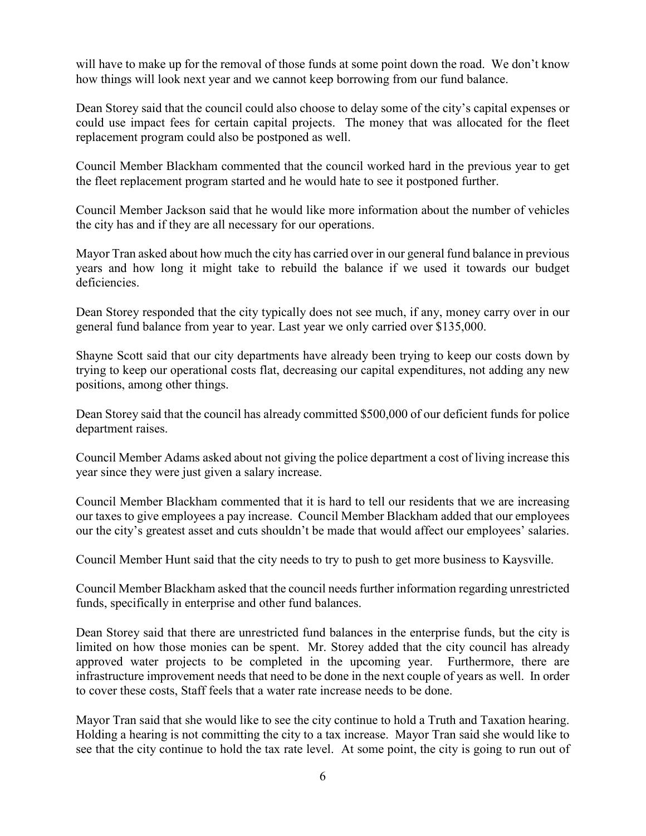will have to make up for the removal of those funds at some point down the road. We don't know how things will look next year and we cannot keep borrowing from our fund balance.

Dean Storey said that the council could also choose to delay some of the city's capital expenses or could use impact fees for certain capital projects. The money that was allocated for the fleet replacement program could also be postponed as well.

Council Member Blackham commented that the council worked hard in the previous year to get the fleet replacement program started and he would hate to see it postponed further.

Council Member Jackson said that he would like more information about the number of vehicles the city has and if they are all necessary for our operations.

Mayor Tran asked about how much the city has carried over in our general fund balance in previous years and how long it might take to rebuild the balance if we used it towards our budget deficiencies.

Dean Storey responded that the city typically does not see much, if any, money carry over in our general fund balance from year to year. Last year we only carried over \$135,000.

Shayne Scott said that our city departments have already been trying to keep our costs down by trying to keep our operational costs flat, decreasing our capital expenditures, not adding any new positions, among other things.

Dean Storey said that the council has already committed \$500,000 of our deficient funds for police department raises.

Council Member Adams asked about not giving the police department a cost of living increase this year since they were just given a salary increase.

Council Member Blackham commented that it is hard to tell our residents that we are increasing our taxes to give employees a pay increase. Council Member Blackham added that our employees our the city's greatest asset and cuts shouldn't be made that would affect our employees' salaries.

Council Member Hunt said that the city needs to try to push to get more business to Kaysville.

Council Member Blackham asked that the council needs further information regarding unrestricted funds, specifically in enterprise and other fund balances.

Dean Storey said that there are unrestricted fund balances in the enterprise funds, but the city is limited on how those monies can be spent. Mr. Storey added that the city council has already approved water projects to be completed in the upcoming year. Furthermore, there are infrastructure improvement needs that need to be done in the next couple of years as well. In order to cover these costs, Staff feels that a water rate increase needs to be done.

Mayor Tran said that she would like to see the city continue to hold a Truth and Taxation hearing. Holding a hearing is not committing the city to a tax increase. Mayor Tran said she would like to see that the city continue to hold the tax rate level. At some point, the city is going to run out of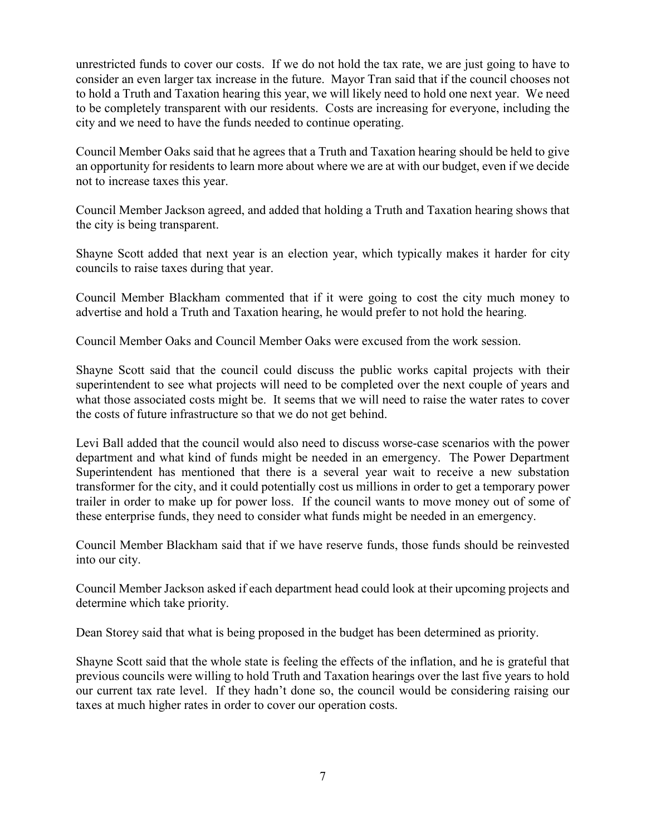unrestricted funds to cover our costs. If we do not hold the tax rate, we are just going to have to consider an even larger tax increase in the future. Mayor Tran said that if the council chooses not to hold a Truth and Taxation hearing this year, we will likely need to hold one next year. We need to be completely transparent with our residents. Costs are increasing for everyone, including the city and we need to have the funds needed to continue operating.

Council Member Oaks said that he agrees that a Truth and Taxation hearing should be held to give an opportunity for residents to learn more about where we are at with our budget, even if we decide not to increase taxes this year.

Council Member Jackson agreed, and added that holding a Truth and Taxation hearing shows that the city is being transparent.

Shayne Scott added that next year is an election year, which typically makes it harder for city councils to raise taxes during that year.

Council Member Blackham commented that if it were going to cost the city much money to advertise and hold a Truth and Taxation hearing, he would prefer to not hold the hearing.

Council Member Oaks and Council Member Oaks were excused from the work session.

Shayne Scott said that the council could discuss the public works capital projects with their superintendent to see what projects will need to be completed over the next couple of years and what those associated costs might be. It seems that we will need to raise the water rates to cover the costs of future infrastructure so that we do not get behind.

Levi Ball added that the council would also need to discuss worse-case scenarios with the power department and what kind of funds might be needed in an emergency. The Power Department Superintendent has mentioned that there is a several year wait to receive a new substation transformer for the city, and it could potentially cost us millions in order to get a temporary power trailer in order to make up for power loss. If the council wants to move money out of some of these enterprise funds, they need to consider what funds might be needed in an emergency.

Council Member Blackham said that if we have reserve funds, those funds should be reinvested into our city.

Council Member Jackson asked if each department head could look at their upcoming projects and determine which take priority.

Dean Storey said that what is being proposed in the budget has been determined as priority.

Shayne Scott said that the whole state is feeling the effects of the inflation, and he is grateful that previous councils were willing to hold Truth and Taxation hearings over the last five years to hold our current tax rate level. If they hadn't done so, the council would be considering raising our taxes at much higher rates in order to cover our operation costs.